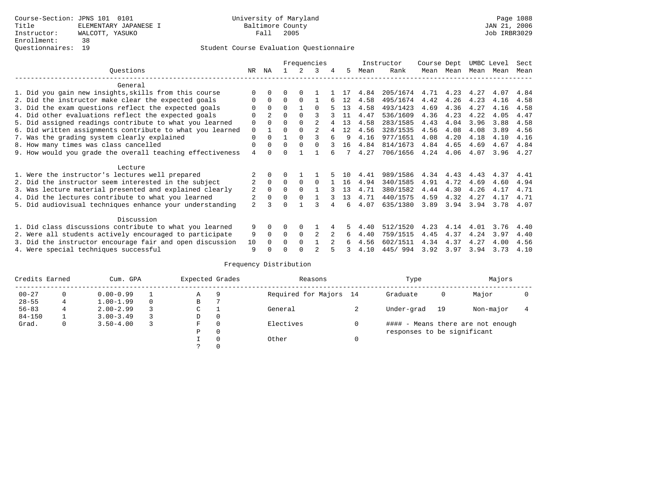### Student Course Evaluation Questionnaire

|                 |                                                           |                | Frequencies    |          |          |              |   |     |      | Instructor | Course Dept |      | UMBC Level |      | Sect |
|-----------------|-----------------------------------------------------------|----------------|----------------|----------|----------|--------------|---|-----|------|------------|-------------|------|------------|------|------|
| Ouestions<br>NR |                                                           |                |                |          |          | २            | 4 | 5   | Mean | Rank       | Mean        | Mean | Mean Mean  |      | Mean |
|                 | General                                                   |                |                |          |          |              |   |     |      |            |             |      |            |      |      |
|                 | 1. Did you gain new insights, skills from this course     |                |                |          |          |              |   |     | 4.84 | 205/1674   | 4.71        | 4.23 | 4.27       | 4.07 | 4.84 |
|                 | 2. Did the instructor make clear the expected goals       |                | $\Omega$       | U        | $\Omega$ |              |   | 12  | 4.58 | 495/1674   | 4.42        | 4.26 | 4.23       | 4.16 | 4.58 |
|                 | 3. Did the exam questions reflect the expected goals      |                | $\Omega$       | $\Omega$ |          | $\Omega$     |   | 13  | 4.58 | 493/1423   | 4.69        | 4.36 | 4.27       | 4.16 | 4.58 |
|                 | 4. Did other evaluations reflect the expected goals       | O              | $\overline{2}$ | $\Omega$ | $\Omega$ |              |   | 11  | 4.47 | 536/1609   | 4.36        | 4.23 | 4.22       | 4.05 | 4.47 |
|                 | 5. Did assigned readings contribute to what you learned   | 0              | $\Omega$       | O        | $\Omega$ |              |   | 13  | 4.58 | 283/1585   | 4.43        | 4.04 | 3.96       | 3.88 | 4.58 |
|                 | 6. Did written assignments contribute to what you learned | 0              |                |          | $\Omega$ |              |   | 12  | 4.56 | 328/1535   | 4.56        | 4.08 | 4.08       | 3.89 | 4.56 |
|                 | 7. Was the grading system clearly explained               |                |                |          | $\Omega$ |              | б | 9   | 4.16 | 977/1651   | 4.08        | 4.20 | 4.18       | 4.10 | 4.16 |
|                 | 8. How many times was class cancelled                     |                |                |          | $\Omega$ | <sup>n</sup> |   | 16  | 4.84 | 814/1673   | 4.84        | 4.65 | 4.69       | 4.67 | 4.84 |
|                 | 9. How would you grade the overall teaching effectiveness | 4              |                |          |          |              |   |     | 4.27 | 706/1656   | 4.24        | 4.06 | 4.07       | 3.96 | 4.27 |
|                 | Lecture                                                   |                |                |          |          |              |   |     |      |            |             |      |            |      |      |
|                 | 1. Were the instructor's lectures well prepared           |                |                |          |          |              |   | 1 ດ | 4.41 | 989/1586   | 4.34        | 4.43 | 4.43       | 4.37 | 4.41 |
|                 | 2. Did the instructor seem interested in the subject      | 2              | $\mathbf 0$    | $\Omega$ | $\Omega$ | 0            |   | 16  | 4.94 | 340/1585   | 4.91        | 4.72 | 4.69       | 4.60 | 4.94 |
|                 | 3. Was lecture material presented and explained clearly   | 2              | $\Omega$       | U        |          |              |   | 13  | 4.71 | 380/1582   | 4.44        | 4.30 | 4.26       | 4.17 | 4.71 |
|                 | 4. Did the lectures contribute to what you learned        |                |                | U        |          |              |   | 13  | 4.71 | 440/1575   | 4.59        | 4.32 | 4.27       | 4.17 | 4.71 |
|                 | 5. Did audiovisual techniques enhance your understanding  | $\overline{a}$ |                |          |          |              |   | ศ   | 4.07 | 635/1380   | 3.89        | 3.94 | 3.94       | 3.78 | 4.07 |
|                 | Discussion                                                |                |                |          |          |              |   |     |      |            |             |      |            |      |      |
|                 | 1. Did class discussions contribute to what you learned   | 9              |                |          |          |              |   |     | 4.40 | 512/1520   | 4.23        | 4.14 | 4.01       | 3.76 | 4.40 |
|                 | 2. Were all students actively encouraged to participate   | 9              | $\Omega$       | 0        | $\Omega$ |              |   | 6   | 4.40 | 759/1515   | 4.45        | 4.37 | 4.24       | 3.97 | 4.40 |
|                 | 3. Did the instructor encourage fair and open discussion  | 10             |                |          | $\Omega$ |              |   | б.  | 4.56 | 602/1511   | 4.34        | 4.37 | 4.27       | 4.00 | 4.56 |
|                 | 4. Were special techniques successful                     | 9              |                |          |          |              |   |     | 4.10 | 445/994    | 3.92        | 3.97 | 3.94       | 3.73 | 4.10 |

# Frequency Distribution

| Credits Earned |   | Cum. GPA      | Expected Grades |   | Reasons  | Type                   | Majors                            |    |           |  |  |
|----------------|---|---------------|-----------------|---|----------|------------------------|-----------------------------------|----|-----------|--|--|
| $00 - 27$      | 0 | $0.00 - 0.99$ |                 | Α | 9        | Required for Majors 14 | Graduate                          | 0  | Major     |  |  |
| $28 - 55$      | 4 | $1.00 - 1.99$ |                 | B |          |                        |                                   |    |           |  |  |
| $56 - 83$      |   | $2.00 - 2.99$ |                 | ◡ |          | General                | Under-grad                        | 19 | Non-major |  |  |
| $84 - 150$     |   | $3.00 - 3.49$ |                 | D | 0        |                        |                                   |    |           |  |  |
| Grad.          | 0 | $3.50 - 4.00$ |                 | F | 0        | Electives              | #### - Means there are not enough |    |           |  |  |
|                |   |               |                 | Ρ | 0        |                        | responses to be significant       |    |           |  |  |
|                |   |               |                 |   | $\Omega$ | Other                  |                                   |    |           |  |  |
|                |   |               |                 |   |          |                        |                                   |    |           |  |  |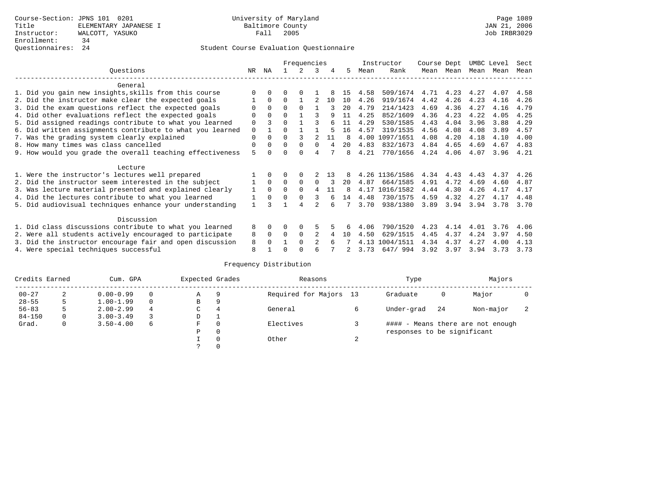### Student Course Evaluation Questionnaire

|                                                           |             |          | Frequencies |          |                |     |     |      | Instructor     | Course Dept |           | UMBC Level |      | Sect |
|-----------------------------------------------------------|-------------|----------|-------------|----------|----------------|-----|-----|------|----------------|-------------|-----------|------------|------|------|
| Ouestions                                                 | NR.         | ΝA       |             |          |                | 4   | 5.  | Mean | Rank           |             | Mean Mean | Mean       | Mean | Mean |
| General                                                   |             |          |             |          |                |     |     |      |                |             |           |            |      |      |
| 1. Did you gain new insights, skills from this course     |             |          |             |          |                |     | 15  | 4.58 | 509/1674       | 4.71        | 4.23      | 4.27       | 4.07 | 4.58 |
| 2. Did the instructor make clear the expected goals       |             | $\Omega$ | $\Omega$    |          |                | 10  | 10  | 4.26 | 919/1674       | 4.42        | 4.26      | 4.23       | 4.16 | 4.26 |
| 3. Did the exam questions reflect the expected goals      |             | $\Omega$ | 0           | $\Omega$ |                |     | 20  | 4.79 | 214/1423       | 4.69        | 4.36      | 4.27       | 4.16 | 4.79 |
| 4. Did other evaluations reflect the expected goals       | O           | $\Omega$ | U           |          |                | q   | 11  | 4.25 | 852/1609       | 4.36        | 4.23      | 4.22       | 4.05 | 4.25 |
| 5. Did assigned readings contribute to what you learned   | $\Omega$    |          |             |          |                |     |     | 4.29 | 530/1585       | 4.43        | 4.04      | 3.96       | 3.88 | 4.29 |
| 6. Did written assignments contribute to what you learned | $\mathbf 0$ |          | U           |          |                |     | 16  | 4.57 | 319/1535       | 4.56        | 4.08      | 4.08       | 3.89 | 4.57 |
| 7. Was the grading system clearly explained               | 0           | $\Omega$ | 0           |          |                | 11  | 8   | 4.00 | 1097/1651      | 4.08        | 4.20      | 4.18       | 4.10 | 4.00 |
| 8. How many times was class cancelled<br>0                |             |          |             | $\Omega$ | <sup>0</sup>   |     | 20  | 4.83 | 832/1673       | 4.84        | 4.65      | 4.69       | 4.67 | 4.83 |
| 9. How would you grade the overall teaching effectiveness | 5           |          |             |          |                |     | 8   | 4.21 | 770/1656       | 4.24        | 4.06      | 4.07       | 3.96 | 4.21 |
| Lecture                                                   |             |          |             |          |                |     |     |      |                |             |           |            |      |      |
| 1. Were the instructor's lectures well prepared           |             |          |             |          |                | 1 3 |     |      | 4.26 1136/1586 | 4.34        | 4.43      | 4.43       | 4.37 | 4.26 |
| 2. Did the instructor seem interested in the subject      |             | $\Omega$ | $\Omega$    | $\Omega$ | O              |     | 20  | 4.87 | 664/1585       | 4.91        | 4.72      | 4.69       | 4.60 | 4.87 |
| 3. Was lecture material presented and explained clearly   | 1           | $\Omega$ | $\Omega$    | $\Omega$ | 4              | 11  | 8   | 4.17 | 1016/1582      | 4.44        | 4.30      | 4.26       | 4.17 | 4.17 |
| 4. Did the lectures contribute to what you learned        |             | $\Omega$ | U           | $\Omega$ | 3              |     | 14  | 4.48 | 730/1575       | 4.59        | 4.32      | 4.27       | 4.17 | 4.48 |
| 5. Did audiovisual techniques enhance your understanding  |             |          |             |          |                |     |     | 3.70 | 938/1380       | 3.89        | 3.94      | 3.94       | 3.78 | 3.70 |
| Discussion                                                |             |          |             |          |                |     |     |      |                |             |           |            |      |      |
| 1. Did class discussions contribute to what you learned   | 8           | 0        | O           | 0        |                |     |     | 4.06 | 790/1520       | 4.23        | 4.14      | 4.01       | 3.76 | 4.06 |
| 2. Were all students actively encouraged to participate   | 8           | $\Omega$ | $\Omega$    | $\Omega$ |                |     | 1 O | 4.50 | 629/1515       | 4.45        | 4.37      | 4.24       | 3.97 | 4.50 |
| 3. Did the instructor encourage fair and open discussion  | 8           |          |             | $\Omega$ | $\mathfrak{D}$ |     |     | 4.13 | 1004/1511      | 4.34        | 4.37      | 4.27       | 4.00 | 4.13 |
| 4. Were special techniques successful                     | 8           |          |             |          |                |     |     | 3.73 | 647/994        | 3.92        | 3.97      | 3.94       | 3.73 | 3.73 |

# Frequency Distribution

| Credits Earned |   | Cum. GPA      | Expected Grades |               | Reasons   |                        | Type   | Majors                            |    |           |                          |
|----------------|---|---------------|-----------------|---------------|-----------|------------------------|--------|-----------------------------------|----|-----------|--------------------------|
| $00 - 27$      | 2 | $0.00 - 0.99$ |                 | Α             | 9         | Required for Majors 13 |        | Graduate                          | 0  | Major     |                          |
| $28 - 55$      | 5 | $1.00 - 1.99$ |                 | В             | 9         |                        |        |                                   |    |           |                          |
| $56 - 83$      | 5 | $2.00 - 2.99$ | 4               | $\sim$<br>◡   | 4         | General                |        | Under-grad                        | 24 | Non-major | $\overline{\phantom{a}}$ |
| $84 - 150$     | 0 | $3.00 - 3.49$ |                 | D             |           |                        |        |                                   |    |           |                          |
| Grad.          | 0 | $3.50 - 4.00$ | 6<br>F<br>0     |               | Electives |                        |        | #### - Means there are not enough |    |           |                          |
|                |   |               |                 | Ρ             | 0         |                        |        | responses to be significant       |    |           |                          |
|                |   |               |                 |               | 0         | Other                  | $\sim$ |                                   |    |           |                          |
|                |   |               |                 | $\mathcal{L}$ |           |                        |        |                                   |    |           |                          |